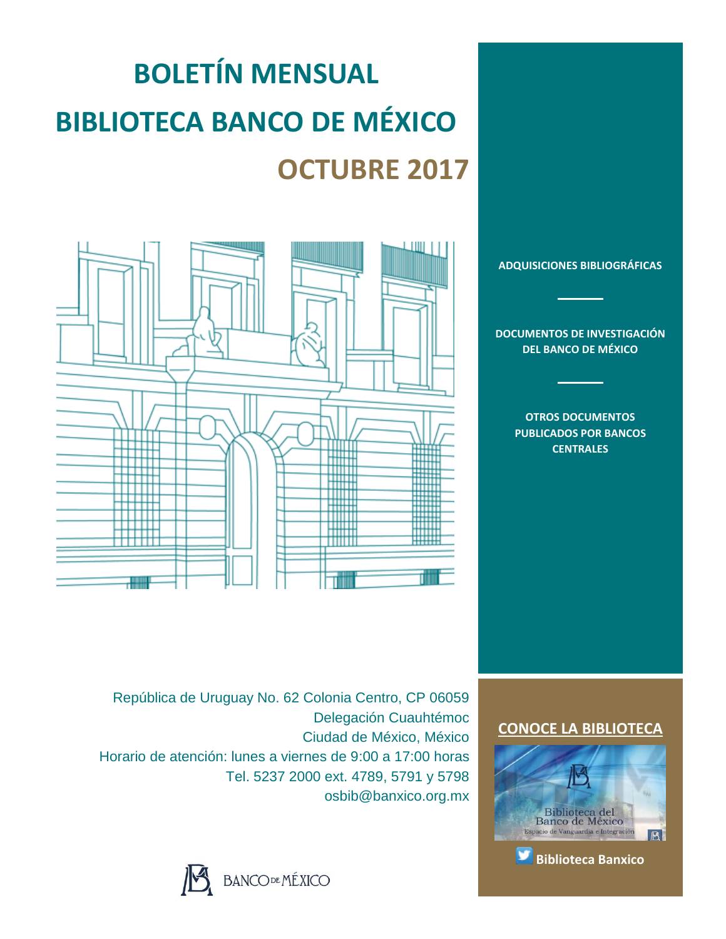# **BOLETÍN MENSUAL BIBLIOTECA BANCO DE MÉXICO OCTUBRE 2017**



**[ADQUISICIONES BIBLIOGRÁFICAS](#page-1-0)**

**[DOCUMENTOS DE INVESTIGACIÓN](#page-2-0)  [DEL BANCO DE MÉXICO](#page-2-0)**

> **[OTROS DOCUMENTOS](#page-3-0)  [PUBLICADOS POR BANCOS](#page-3-0)  [CENTRALES](#page-3-0)**

República de Uruguay No. 62 Colonia Centro, CP 06059 Delegación Cuauhtémoc Ciudad de México, México Horario de atención: lunes a viernes de 9:00 a 17:00 horas Tel. 5237 2000 ext. 4789, 5791 y 5798 osbib@banxico.org.mx



#### **[CONOCE LA BIBLIOTECA](https://youtu.be/hYviojnntt8)**

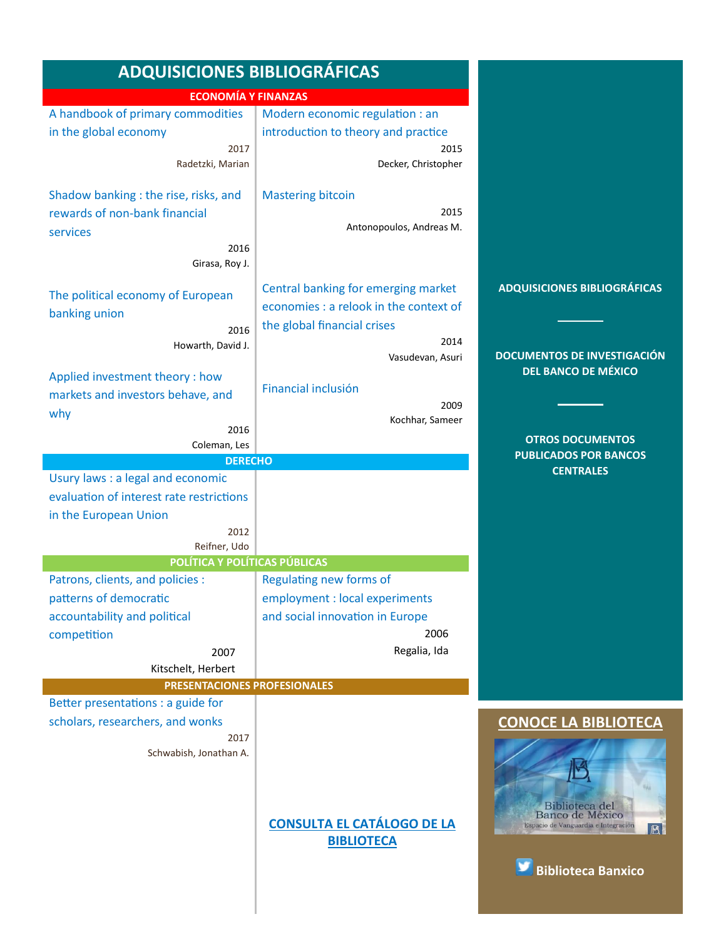<span id="page-1-0"></span>

| ADQUISICIONES BIBLIOGRÁFICAS             |                                                        |                                                                               |
|------------------------------------------|--------------------------------------------------------|-------------------------------------------------------------------------------|
| <b>ECONOMÍA Y FINANZAS</b>               |                                                        |                                                                               |
| A handbook of primary commodities        | Modern economic regulation : an                        |                                                                               |
| in the global economy                    | introduction to theory and practice                    |                                                                               |
| 2017                                     | 2015                                                   |                                                                               |
| Radetzki, Marian                         | Decker, Christopher                                    |                                                                               |
|                                          |                                                        |                                                                               |
| Shadow banking : the rise, risks, and    | <b>Mastering bitcoin</b>                               |                                                                               |
| rewards of non-bank financial            | 2015<br>Antonopoulos, Andreas M.                       |                                                                               |
| services                                 |                                                        |                                                                               |
| 2016                                     |                                                        |                                                                               |
| Girasa, Roy J.                           |                                                        |                                                                               |
| The political economy of European        | Central banking for emerging market                    | <b>ADQUISICIONES BIBLIOGRÁFICAS</b>                                           |
| banking union                            | economies : a relook in the context of                 |                                                                               |
| 2016                                     | the global financial crises                            |                                                                               |
| Howarth, David J.                        | 2014                                                   |                                                                               |
|                                          | Vasudevan, Asuri                                       | <b>DOCUMENTOS DE INVESTIGACIÓN</b><br><b>DEL BANCO DE MÉXICO</b>              |
| Applied investment theory: how           | Financial inclusión                                    |                                                                               |
| markets and investors behave, and        | 2009                                                   |                                                                               |
| why                                      | Kochhar, Sameer                                        |                                                                               |
| 2016                                     |                                                        | <b>OTROS DOCUMENTOS</b>                                                       |
| Coleman, Les<br><b>DERECHO</b>           |                                                        | <b>PUBLICADOS POR BANCOS</b>                                                  |
| Usury laws : a legal and economic        |                                                        | <b>CENTRALES</b>                                                              |
| evaluation of interest rate restrictions |                                                        |                                                                               |
| in the European Union                    |                                                        |                                                                               |
| 2012                                     |                                                        |                                                                               |
| Reifner, Udo                             |                                                        |                                                                               |
| POLÍTICA Y POLÍTICAS PÚBLICAS            |                                                        |                                                                               |
| Patrons, clients, and policies :         | Regulating new forms of                                |                                                                               |
| patterns of democratic                   | employment : local experiments                         |                                                                               |
| accountability and political             | and social innovation in Europe                        |                                                                               |
| competition                              | 2006                                                   |                                                                               |
| 2007                                     | Regalia, Ida                                           |                                                                               |
| Kitschelt, Herbert                       |                                                        |                                                                               |
| PRESENTACIONES PROFESIONALES             |                                                        |                                                                               |
| Better presentations : a guide for       |                                                        |                                                                               |
| scholars, researchers, and wonks         |                                                        | <b>CONOCE LA BIBLIOTECA</b>                                                   |
| 2017                                     |                                                        |                                                                               |
| Schwabish, Jonathan A.                   | <b>CONSULTA EL CATÁLOGO DE LA</b><br><b>BIBLIOTECA</b> | Biblioteca del<br>Banco de México<br>Espacio de Vanguardia e Integración<br>B |
|                                          |                                                        | <b>Biblioteca Banxico</b>                                                     |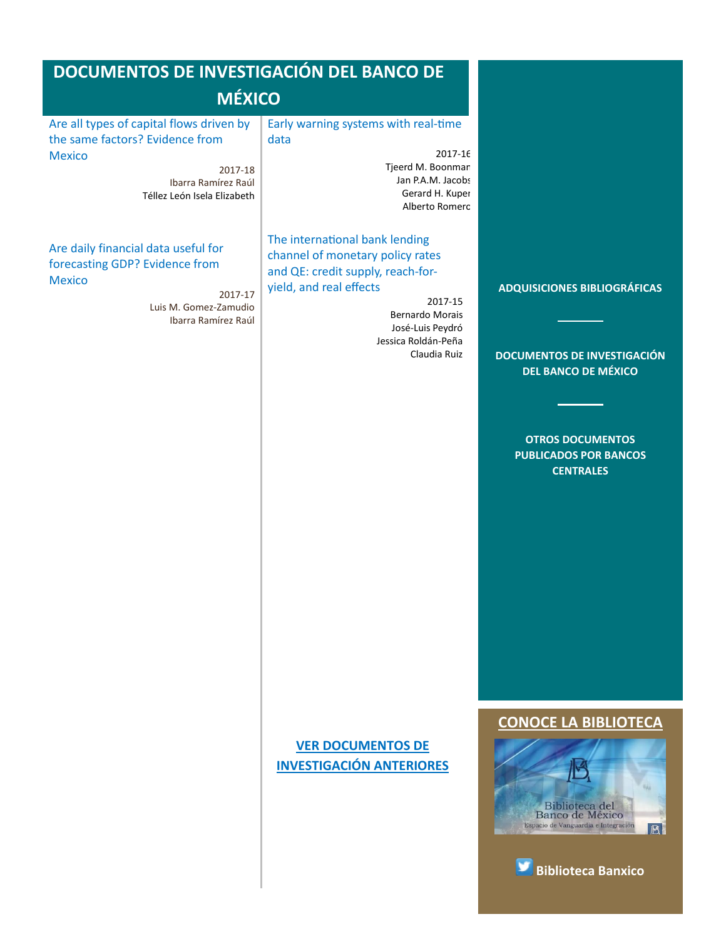<span id="page-2-0"></span>

| <b>DOCUMENTOS DE INVESTIGACIÓN DEL BANCO DE</b>                                                                                                                                                                                                                                                                    |                                                                                                                                                                                                                                                                                                                                                                              |                                                                                                                                                                                        |
|--------------------------------------------------------------------------------------------------------------------------------------------------------------------------------------------------------------------------------------------------------------------------------------------------------------------|------------------------------------------------------------------------------------------------------------------------------------------------------------------------------------------------------------------------------------------------------------------------------------------------------------------------------------------------------------------------------|----------------------------------------------------------------------------------------------------------------------------------------------------------------------------------------|
| <b>MÉXICO</b>                                                                                                                                                                                                                                                                                                      |                                                                                                                                                                                                                                                                                                                                                                              |                                                                                                                                                                                        |
| Are all types of capital flows driven by<br>the same factors? Evidence from<br><b>Mexico</b><br>2017-18<br>Ibarra Ramírez Raúl<br>Téllez León Isela Elizabeth<br>Are daily financial data useful for<br>forecasting GDP? Evidence from<br><b>Mexico</b><br>2017-17<br>Luis M. Gomez-Zamudio<br>Ibarra Ramírez Raúl | Early warning systems with real-time<br>data<br>2017-16<br>Tjeerd M. Boonman<br>Jan P.A.M. Jacobs<br>Gerard H. Kuper<br>Alberto Romerc<br>The international bank lending<br>channel of monetary policy rates<br>and QE: credit supply, reach-for-<br>yield, and real effects<br>2017-15<br><b>Bernardo Morais</b><br>José-Luis Peydró<br>Jessica Roldán-Peña<br>Claudia Ruiz | <b>ADQUISICIONES BIBLIOGRÁFICAS</b><br><b>DOCUMENTOS DE INVESTIGACIÓN</b><br><b>DEL BANCO DE MÉXICO</b><br><b>OTROS DOCUMENTOS</b><br><b>PUBLICADOS POR BANCOS</b><br><b>CENTRALES</b> |
|                                                                                                                                                                                                                                                                                                                    | <b>VER DOCUMENTOS DE</b><br><b>INVESTIGACIÓN ANTERIORES</b>                                                                                                                                                                                                                                                                                                                  | <b>CONOCE LA BIBLIOTECA</b><br><b>Biblioteca</b> del<br>Banco de México<br>Espacio de Vanguardia e Integración                                                                         |
|                                                                                                                                                                                                                                                                                                                    |                                                                                                                                                                                                                                                                                                                                                                              | <b>Biblioteca Banxico</b>                                                                                                                                                              |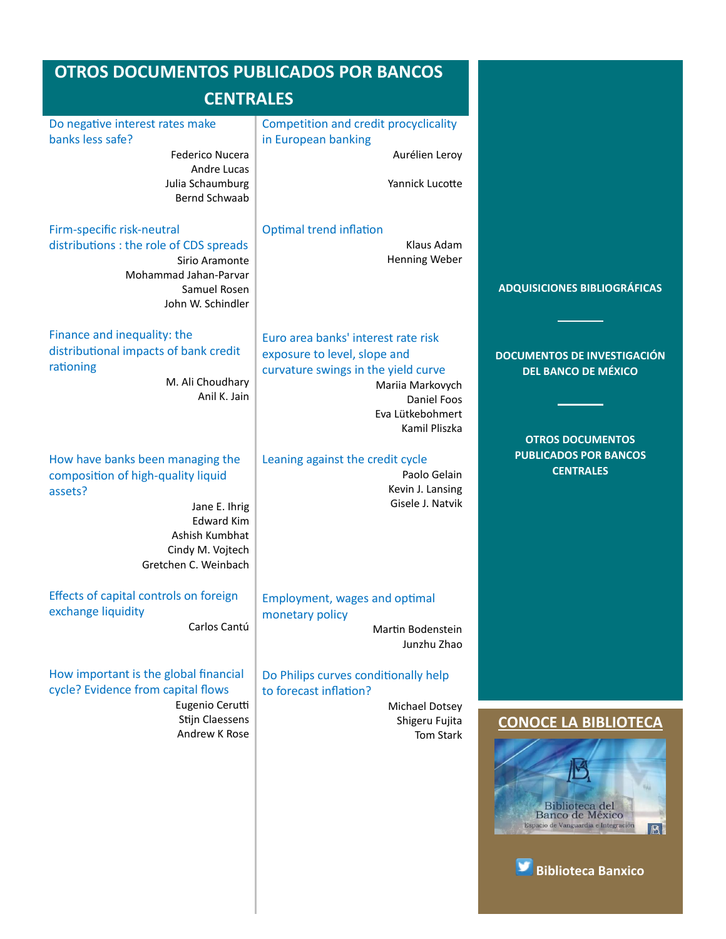<span id="page-3-0"></span>

| <b>OTROS DOCUMENTOS PUBLICADOS POR BANCOS</b>                                                                                                                                         |                                                                                                                                                                                    |                                                                                                                 |
|---------------------------------------------------------------------------------------------------------------------------------------------------------------------------------------|------------------------------------------------------------------------------------------------------------------------------------------------------------------------------------|-----------------------------------------------------------------------------------------------------------------|
| <b>CENTRALES</b>                                                                                                                                                                      |                                                                                                                                                                                    |                                                                                                                 |
| Do negative interest rates make<br>banks less safe?<br><b>Federico Nucera</b><br>Andre Lucas<br>Julia Schaumburg<br>Bernd Schwaab                                                     | Competition and credit procyclicality<br>in European banking<br>Aurélien Leroy<br>Yannick Lucotte                                                                                  |                                                                                                                 |
| Firm-specific risk-neutral<br>distributions : the role of CDS spreads<br>Sirio Aramonte<br>Mohammad Jahan-Parvar<br>Samuel Rosen<br>John W. Schindler                                 | <b>Optimal trend inflation</b><br>Klaus Adam<br>Henning Weber                                                                                                                      | <b>ADQUISICIONES BIBLIOGRÁFICAS</b>                                                                             |
| Finance and inequality: the<br>distributional impacts of bank credit<br>rationing<br>M. Ali Choudhary<br>Anil K. Jain                                                                 | Euro area banks' interest rate risk<br>exposure to level, slope and<br>curvature swings in the yield curve<br>Mariia Markovych<br>Daniel Foos<br>Eva Lütkebohmert<br>Kamil Pliszka | <b>DOCUMENTOS DE INVESTIGACIÓN</b><br><b>DEL BANCO DE MÉXICO</b><br><b>OTROS DOCUMENTOS</b>                     |
| How have banks been managing the<br>composition of high-quality liquid<br>assets?<br>Jane E. Ihrig<br><b>Edward Kim</b><br>Ashish Kumbhat<br>Cindy M. Vojtech<br>Gretchen C. Weinbach | Leaning against the credit cycle<br>Paolo Gelain<br>Kevin J. Lansing<br>Gisele J. Natvik                                                                                           | <b>PUBLICADOS POR BANCOS</b><br><b>CENTRALES</b>                                                                |
| Effects of capital controls on foreign<br>exchange liquidity<br>Carlos Cantú                                                                                                          | Employment, wages and optimal<br>monetary policy<br>Martin Bodenstein<br>Junzhu Zhao                                                                                               |                                                                                                                 |
| How important is the global financial<br>cycle? Evidence from capital flows<br>Eugenio Cerutti<br>Stijn Claessens                                                                     | Do Philips curves conditionally help<br>to forecast inflation?<br><b>Michael Dotsey</b><br>Shigeru Fujita                                                                          |                                                                                                                 |
| Andrew K Rose                                                                                                                                                                         | Tom Stark                                                                                                                                                                          | <b>CONOCE LA BIBLIOTECA</b><br>Biblioteca del<br>Banco de México<br>Espacio de Vanguardia e Integración<br>13 I |
|                                                                                                                                                                                       |                                                                                                                                                                                    | <b>Biblioteca Banxico</b>                                                                                       |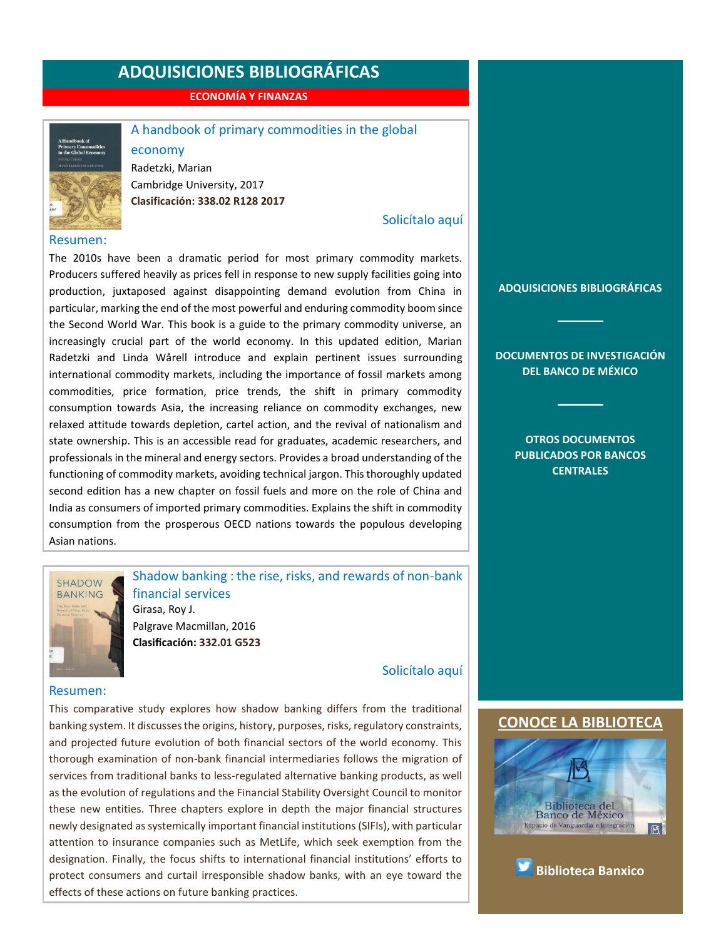**ECONOMÍA Y FINANZAS**

<span id="page-4-0"></span>

#### A handbook of primary commodities in the global

economy Radetzki, Marian Cambridge University, 2017 **Clasificación: 338.02 R128 2017**

#### [Solicítalo aquí](mailto:osbib@banxico.org.mx?subject=+Solicito%20el%20siguiente%20material&body=Solicito%20en%20préstamo%20el%20siguiente%20título%20%22A%20handbook%20of%20primary%20commodities%20in%20the%20global%20economy%22%20con%20clasificación%20338.02%20R128%202017)

#### Resumen:

The 2010s have been a dramatic period for most primary commodity markets. Producers suffered heavily as prices fell in response to new supply facilities going into production, juxtaposed against disappointing demand evolution from China in particular, marking the end of the most powerful and enduring commodity boom since the Second World War. This book is a guide to the primary commodity universe, an increasingly crucial part of the world economy. In this updated edition, Marian Radetzki and Linda Wårell introduce and explain pertinent issues surrounding international commodity markets, including the importance of fossil markets among commodities, price formation, price trends, the shift in primary commodity consumption towards Asia, the increasing reliance on commodity exchanges, new relaxed attitude towards depletion, cartel action, and the revival of nationalism and state ownership. This is an accessible read for graduates, academic researchers, and professionals in the mineral and energy sectors. Provides a broad understanding of the functioning of commodity markets, avoiding technical jargon. This thoroughly updated second edition has a new chapter on fossil fuels and more on the role of China and India as consumers of imported primary commodities. Explains the shift in commodity consumption from the prosperous OECD nations towards the populous developing Asian nations.



Shadow banking : the rise, risks, and rewards of non-bank financial services Girasa, Roy J. Palgrave Macmillan, 2016 **Clasificación: 332.01 G523**

#### [Solicítalo aquí](mailto:osbib@banxico.org.mx?subject=+Solicito%20el%20siguiente%20material&body=Solicito%20en%20préstamo%20el%20siguiente%20título%20%22Shadow%20banking%22%20con%20clasificación%20332.01%20G523)

#### Resumen:

This comparative study explores how shadow banking differs from the traditional banking system. It discusses the origins, history, purposes, risks, regulatory constraints, and projected future evolution of both financial sectors of the world economy. This thorough examination of non-bank financial intermediaries follows the migration of services from traditional banks to less-regulated alternative banking products, as well as the evolution of regulations and the Financial Stability Oversight Council to monitor these new entities. Three chapters explore in depth the major financial structures newly designated as systemically important financial institutions (SIFIs), with particular attention to insurance companies such as MetLife, which seek exemption from the designation. Finally, the focus shifts to international financial institutions' efforts to protect consumers and curtail irresponsible shadow banks, with an eye toward the effects of these actions on future banking practices.

**[ADQUISICIONES BIBLIOGRÁFICAS](#page-1-0)**

**[DOCUMENTOS DE INVESTIGACIÓN](#page-2-0)  [DEL BANCO DE MÉXICO](#page-2-0)**

> **[OTROS DOCUMENTOS](#page-3-0)  [PUBLICADOS POR BANCOS](#page-3-0)  [CENTRALES](#page-3-0)**

#### **CONOCE LA BIBLIOTE**

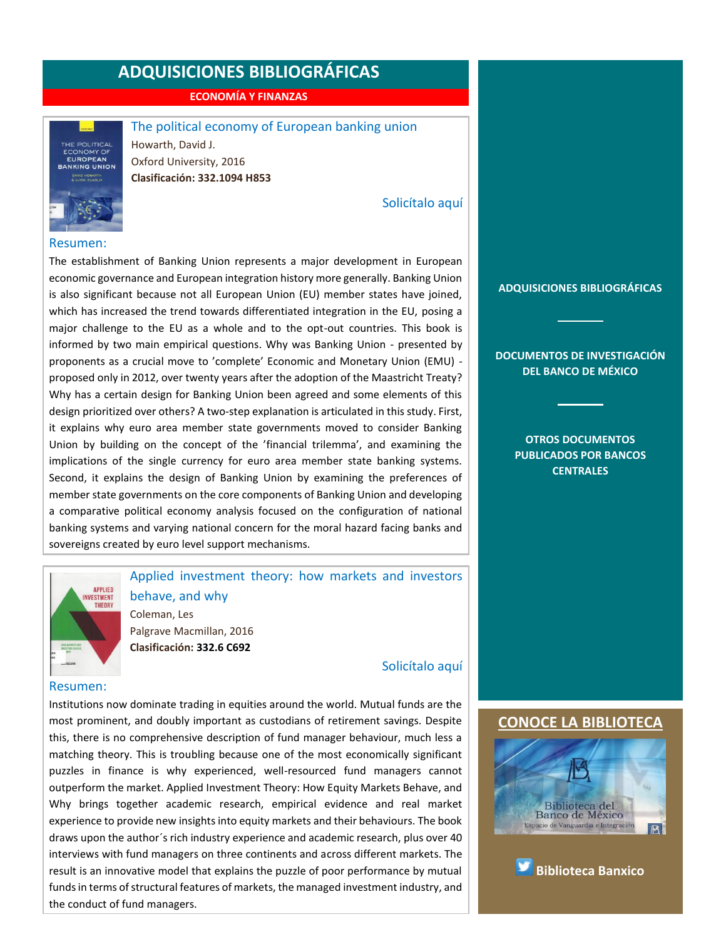**ECONOMÍA Y FINANZAS**

<span id="page-5-0"></span>

The political economy of European banking union Howarth, David J. Oxford University, 2016 **Clasificación: 332.1094 H853**

## [Solicítalo aquí](mailto:osbib@banxico.org.mx?subject=+Solicito%20el%20siguiente%20material&body=Solicito%20en%20préstamo%20el%20siguiente%20título%20%22The%20political%20economy%20of%20European%20banking%20union%22%20con%20clasificación%20332.1094%20H853)

#### Resumen:

The establishment of Banking Union represents a major development in European economic governance and European integration history more generally. Banking Union is also significant because not all European Union (EU) member states have joined, which has increased the trend towards differentiated integration in the EU, posing a major challenge to the EU as a whole and to the opt-out countries. This book is informed by two main empirical questions. Why was Banking Union - presented by proponents as a crucial move to 'complete' Economic and Monetary Union (EMU) proposed only in 2012, over twenty years after the adoption of the Maastricht Treaty? Why has a certain design for Banking Union been agreed and some elements of this design prioritized over others? A two-step explanation is articulated in this study. First, it explains why euro area member state governments moved to consider Banking Union by building on the concept of the 'financial trilemma', and examining the implications of the single currency for euro area member state banking systems. Second, it explains the design of Banking Union by examining the preferences of member state governments on the core components of Banking Union and developing a comparative political economy analysis focused on the configuration of national banking systems and varying national concern for the moral hazard facing banks and sovereigns created by euro level support mechanisms.



Applied investment theory: how markets and investors behave, and why Coleman, Les Palgrave Macmillan, 2016 **Clasificación: 332.6 C692**

#### [Solicítalo aquí](mailto:osbib@banxico.org.mx?subject=+Solicito%20el%20siguiente%20material&body=Solicito%20en%20préstamo%20el%20siguiente%20título%20%22Applied%20investment%20theory%22%20con%20clasificación%20332.6%20C692)

#### Resumen:

Institutions now dominate trading in equities around the world. Mutual funds are the most prominent, and doubly important as custodians of retirement savings. Despite this, there is no comprehensive description of fund manager behaviour, much less a matching theory. This is troubling because one of the most economically significant puzzles in finance is why experienced, well-resourced fund managers cannot outperform the market. Applied Investment Theory: How Equity Markets Behave, and Why brings together academic research, empirical evidence and real market experience to provide new insights into equity markets and their behaviours. The book draws upon the author´s rich industry experience and academic research, plus over 40 interviews with fund managers on three continents and across different markets. The result is an innovative model that explains the puzzle of poor performance by mutual funds in terms of structural features of markets, the managed investment industry, and the conduct of fund managers.

#### **[ADQUISICIONES BIBLIOGRÁFICAS](#page-1-0)**

**[DOCUMENTOS DE INVESTIGACIÓN](#page-2-0)  [DEL BANCO DE MÉXICO](#page-2-0)**

> **[OTROS DOCUMENTOS](#page-3-0)  [PUBLICADOS POR BANCOS](#page-3-0)  [CENTRALES](#page-3-0)**

#### **CONOCE LA BIBLIOTEC**

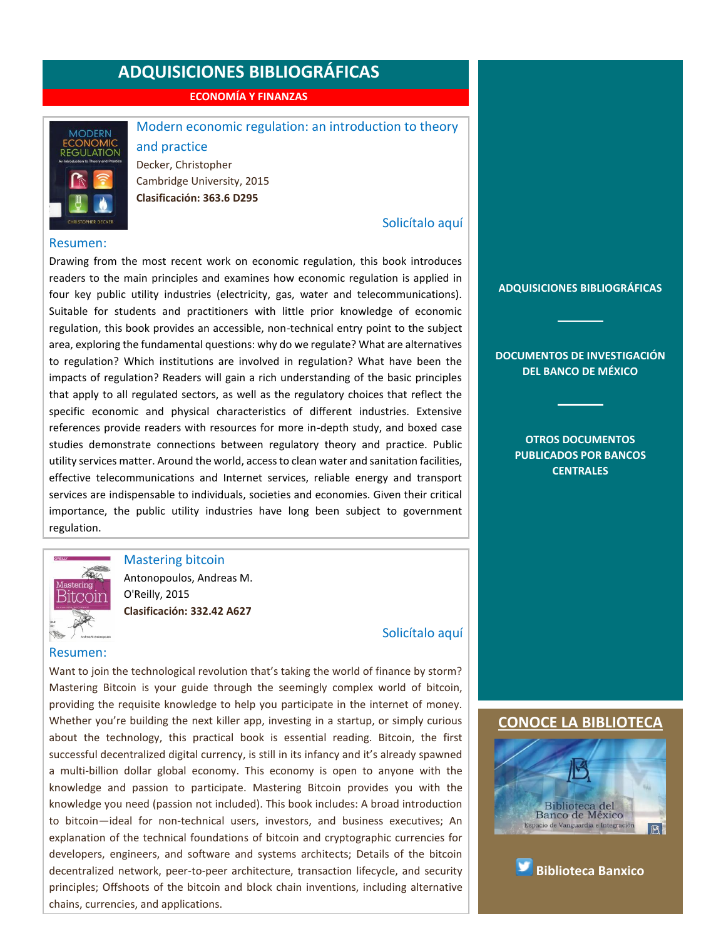**ECONOMÍA Y FINANZAS**

<span id="page-6-0"></span>

#### Modern economic regulation: an introduction to theory

and practice Decker, Christopher Cambridge University, 2015 **Clasificación: 363.6 D295**

#### [Solicítalo aquí](mailto:osbib@banxico.org.mx?subject=+Solicito%20el%20siguiente%20material&body=Solicito%20en%20préstamo%20el%20siguiente%20título%20%22Modern%20economic%20regulation%22%20con%20clasificación%20363.6%20D295)

#### Resumen:

Drawing from the most recent work on economic regulation, this book introduces readers to the main principles and examines how economic regulation is applied in four key public utility industries (electricity, gas, water and telecommunications). Suitable for students and practitioners with little prior knowledge of economic regulation, this book provides an accessible, non-technical entry point to the subject area, exploring the fundamental questions: why do we regulate? What are alternatives to regulation? Which institutions are involved in regulation? What have been the impacts of regulation? Readers will gain a rich understanding of the basic principles that apply to all regulated sectors, as well as the regulatory choices that reflect the specific economic and physical characteristics of different industries. Extensive references provide readers with resources for more in-depth study, and boxed case studies demonstrate connections between regulatory theory and practice. Public utility services matter. Around the world, access to clean water and sanitation facilities, effective telecommunications and Internet services, reliable energy and transport services are indispensable to individuals, societies and economies. Given their critical importance, the public utility industries have long been subject to government regulation.

#### Mastering bitcoin

Antonopoulos, Andreas M. O'Reilly, 2015 **Clasificación: 332.42 A627**

#### [Solicítalo aquí](mailto:osbib@banxico.org.mx?subject=+Solicito%20el%20siguiente%20material&body=Solicito%20en%20préstamo%20el%20siguiente%20título%20%22Mastering%20bitcoin%22%20con%20clasificación%20332.42%20A627)

#### Resumen:

态

itcoir

Want to join the technological revolution that's taking the world of finance by storm? Mastering Bitcoin is your guide through the seemingly complex world of bitcoin, providing the requisite knowledge to help you participate in the internet of money. Whether you're building the next killer app, investing in a startup, or simply curious about the technology, this practical book is essential reading. Bitcoin, the first successful decentralized digital currency, is still in its infancy and it's already spawned a multi-billion dollar global economy. This economy is open to anyone with the knowledge and passion to participate. Mastering Bitcoin provides you with the knowledge you need (passion not included). This book includes: A broad introduction to bitcoin—ideal for non-technical users, investors, and business executives; An explanation of the technical foundations of bitcoin and cryptographic currencies for developers, engineers, and software and systems architects; Details of the bitcoin decentralized network, peer-to-peer architecture, transaction lifecycle, and security principles; Offshoots of the bitcoin and block chain inventions, including alternative chains, currencies, and applications.

#### **[ADQUISICIONES BIBLIOGRÁFICAS](#page-1-0)**

**[DOCUMENTOS DE INVESTIGACIÓN](#page-2-0)  [DEL BANCO DE MÉXICO](#page-2-0)**

> **[OTROS DOCUMENTOS](#page-3-0)  [PUBLICADOS POR BANCOS](#page-3-0)  [CENTRALES](#page-3-0)**

#### **CONOCE LA BIBLIOTE**

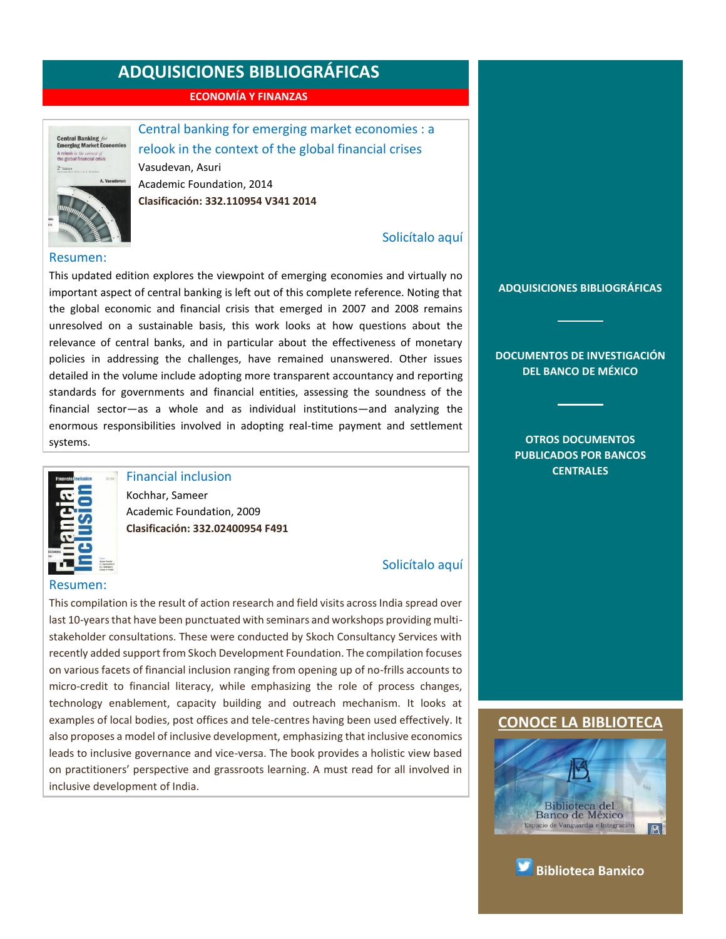**ECONOMÍA Y FINANZAS**

<span id="page-7-0"></span>

Central banking for emerging market economies : a relook in the context of the global financial crises Vasudevan, Asuri Academic Foundation, 2014 **Clasificación: 332.110954 V341 2014**

#### [Solicítalo aquí](mailto:osbib@banxico.org.mx?subject=+Solicito%20el%20siguiente%20material&body=Solicito%20en%20préstamo%20el%20siguiente%20título%20%22Central%20banking%20for%20emerging%20market%20economies%22%20con%20clasificación%20332.110954%20V341%202014)

#### Resumen:

This updated edition explores the viewpoint of emerging economies and virtually no important aspect of central banking is left out of this complete reference. Noting that the global economic and financial crisis that emerged in 2007 and 2008 remains unresolved on a sustainable basis, this work looks at how questions about the relevance of central banks, and in particular about the effectiveness of monetary policies in addressing the challenges, have remained unanswered. Other issues detailed in the volume include adopting more transparent accountancy and reporting standards for governments and financial entities, assessing the soundness of the financial sector—as a whole and as individual institutions—and analyzing the enormous responsibilities involved in adopting real-time payment and settlement systems.



#### Financial inclusion

Kochhar, Sameer Academic Foundation, 2009 **Clasificación: 332.02400954 F491**

#### [Solicítalo aquí](mailto:osbib@banxico.org.mx?subject=+Solicito%20el%20siguiente%20material&body=Solicito%20en%20préstamo%20el%20siguiente%20título%20%22Financial%20inclusion%22%20con%20clasificación%20332.02400954%20F491)

## Resumen:

This compilation is the result of action research and field visits across India spread over last 10-years that have been punctuated with seminars and workshops providing multistakeholder consultations. These were conducted by Skoch Consultancy Services with recently added support from Skoch Development Foundation. The compilation focuses on various facets of financial inclusion ranging from opening up of no-frills accounts to micro-credit to financial literacy, while emphasizing the role of process changes, technology enablement, capacity building and outreach mechanism. It looks at examples of local bodies, post offices and tele-centres having been used effectively. It also proposes a model of inclusive development, emphasizing that inclusive economics leads to inclusive governance and vice-versa. The book provides a holistic view based on practitioners' perspective and grassroots learning. A must read for all involved in inclusive development of India.

**[ADQUISICIONES BIBLIOGRÁFICAS](#page-1-0)**

**[DOCUMENTOS DE INVESTIGACIÓN](#page-2-0)  [DEL BANCO DE MÉXICO](#page-2-0)**

> **[OTROS DOCUMENTOS](#page-3-0)  [PUBLICADOS POR BANCOS](#page-3-0)  [CENTRALES](#page-3-0)**

#### **CONOCE LA BIBLIOT**

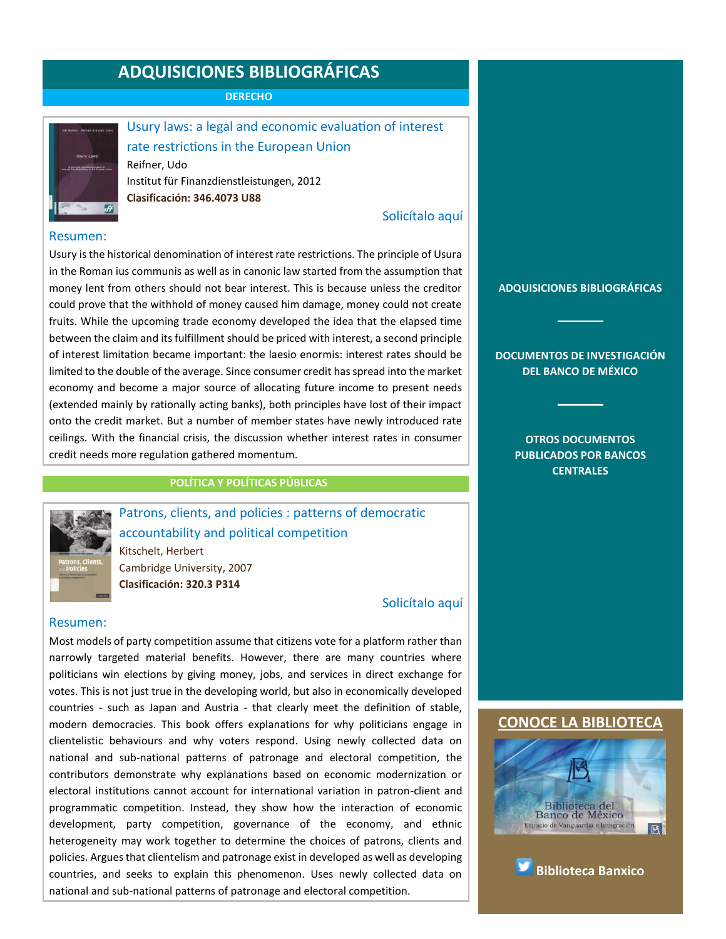**DERECHO**

<span id="page-8-0"></span>

Usury laws: a legal and economic evaluation of interest rate restrictions in the European Union Reifner, Udo Institut für Finanzdienstleistungen, 2012 **Clasificación: 346.4073 U88**

#### [Solicítalo aquí](mailto:osbib@banxico.org.mx?subject=+Solicito%20el%20siguiente%20material&body=Solicito%20en%20préstamo%20el%20siguiente%20título%20%22Usury%20laws%22%20con%20clasificación%20346.4073%20U88)

#### Resumen:

Usury is the historical denomination of interest rate restrictions. The principle of Usura in the Roman ius communis as well as in canonic law started from the assumption that money lent from others should not bear interest. This is because unless the creditor could prove that the withhold of money caused him damage, money could not create fruits. While the upcoming trade economy developed the idea that the elapsed time between the claim and its fulfillment should be priced with interest, a second principle of interest limitation became important: the laesio enormis: interest rates should be limited to the double of the average. Since consumer credit has spread into the market economy and become a major source of allocating future income to present needs (extended mainly by rationally acting banks), both principles have lost of their impact onto the credit market. But a number of member states have newly introduced rate ceilings. With the financial crisis, the discussion whether interest rates in consumer credit needs more regulation gathered momentum.

#### **POLÍTICA Y POLÍTICAS PÚBLICAS**

Patrons, clients, and policies : patterns of democratic accountability and political competition Kitschelt, Herbert Cambridge University, 2007 **Clasificación: 320.3 P314**

#### [Solicítalo aquí](mailto:osbib@banxico.org.mx?subject=+Solicito%20el%20siguiente%20material&body=Solicito%20en%20préstamo%20el%20siguiente%20título%20%22Patrons,%20clients,%20and%20policies%22%20con%20clasificación%20320.3%20P314)

#### Resumen:

Most models of party competition assume that citizens vote for a platform rather than narrowly targeted material benefits. However, there are many countries where politicians win elections by giving money, jobs, and services in direct exchange for votes. This is not just true in the developing world, but also in economically developed countries - such as Japan and Austria - that clearly meet the definition of stable, modern democracies. This book offers explanations for why politicians engage in clientelistic behaviours and why voters respond. Using newly collected data on national and sub-national patterns of patronage and electoral competition, the contributors demonstrate why explanations based on economic modernization or electoral institutions cannot account for international variation in patron-client and programmatic competition. Instead, they show how the interaction of economic development, party competition, governance of the economy, and ethnic heterogeneity may work together to determine the choices of patrons, clients and policies. Argues that clientelism and patronage exist in developed as well as developing countries, and seeks to explain this phenomenon. Uses newly collected data on national and sub-national patterns of patronage and electoral competition.

**[ADQUISICIONES BIBLIOGRÁFICAS](#page-1-0)**

**[DOCUMENTOS DE INVESTIGACIÓN](#page-2-0)  [DEL BANCO DE MÉXICO](#page-2-0)**

> **[OTROS DOCUMENTOS](#page-3-0)  [PUBLICADOS POR BANCOS](#page-3-0)  [CENTRALES](#page-3-0)**

#### **CONOCE LA BIBLIOTE**



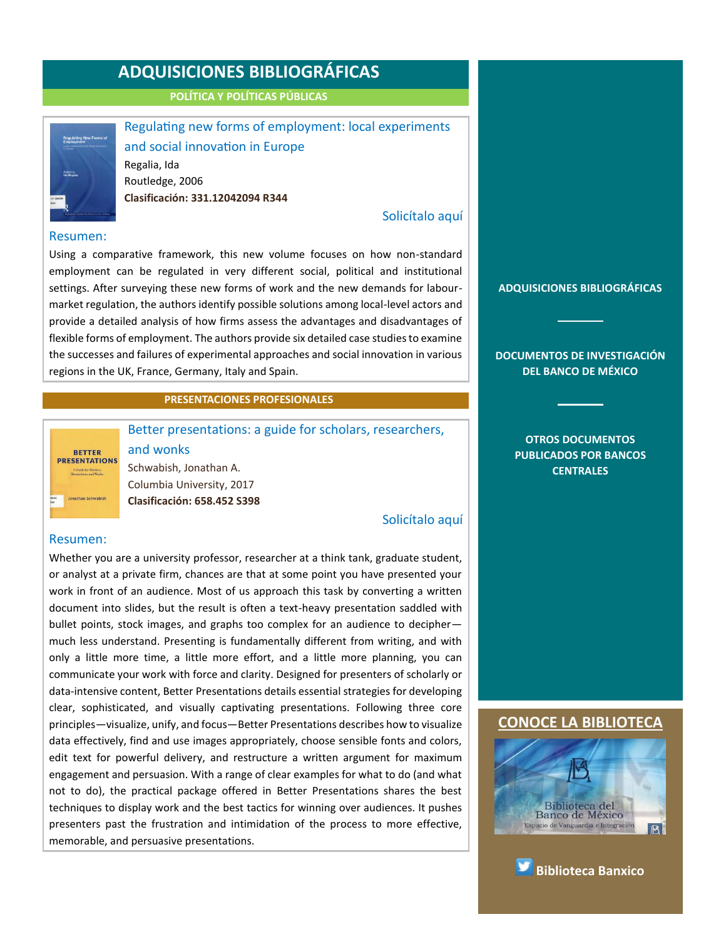**POLÍTICA Y POLÍTICAS PÚBLICAS**

<span id="page-9-0"></span>

Regulating new forms of employment: local experiments and social innovation in Europe Regalia, Ida Routledge, 2006 **Clasificación: 331.12042094 R344**

#### [Solicítalo aquí](mailto:osbib@banxico.org.mx?subject=+Solicito%20el%20siguiente%20material&body=Solicito%20en%20préstamo%20el%20siguiente%20título%20%22Regulating%20new%20forms%20of%20employment%22%20con%20clasificación%20331.12042094%20R344)

#### Resumen:

Using a comparative framework, this new volume focuses on how non-standard employment can be regulated in very different social, political and institutional settings. After surveying these new forms of work and the new demands for labourmarket regulation, the authors identify possible solutions among local-level actors and provide a detailed analysis of how firms assess the advantages and disadvantages of flexible forms of employment. The authors provide six detailed case studies to examine the successes and failures of experimental approaches and social innovation in various regions in the UK, France, Germany, Italy and Spain.

**PRESENTACIONES PROFESIONALES**

#### Better presentations: a guide for scholars, researchers,

# **BETTER PRESENTATIONS**

#### and wonks

Schwabish, Jonathan A. Columbia University, 2017 **Clasificación: 658.452 S398**

#### [Solicítalo aquí](mailto:osbib@banxico.org.mx?subject=+Solicito%20el%20siguiente%20material&body=Solicito%20en%20préstamo%20el%20siguiente%20título%20%22Better%20presentations%22%20con%20clasificación%20658.452%20S398)

#### Resumen:

Whether you are a university professor, researcher at a think tank, graduate student, or analyst at a private firm, chances are that at some point you have presented your work in front of an audience. Most of us approach this task by converting a written document into slides, but the result is often a text-heavy presentation saddled with bullet points, stock images, and graphs too complex for an audience to deciphermuch less understand. Presenting is fundamentally different from writing, and with only a little more time, a little more effort, and a little more planning, you can communicate your work with force and clarity. Designed for presenters of scholarly or data-intensive content, Better Presentations details essential strategies for developing clear, sophisticated, and visually captivating presentations. Following three core principles—visualize, unify, and focus—Better Presentations describes how to visualize data effectively, find and use images appropriately, choose sensible fonts and colors, edit text for powerful delivery, and restructure a written argument for maximum engagement and persuasion. With a range of clear examples for what to do (and what not to do), the practical package offered in Better Presentations shares the best techniques to display work and the best tactics for winning over audiences. It pushes presenters past the frustration and intimidation of the process to more effective, memorable, and persuasive presentations.

**[ADQUISICIONES BIBLIOGRÁFICAS](#page-1-0)**

#### **[DOCUMENTOS DE INVESTIGACIÓN](#page-2-0)  [DEL BANCO DE MÉXICO](#page-2-0)**

#### **[OTROS DOCUMENTOS](#page-3-0)  [PUBLICADOS POR BANCOS](#page-3-0)  [CENTRALES](#page-3-0)**

#### **CONOCE LA BIBLIOT**

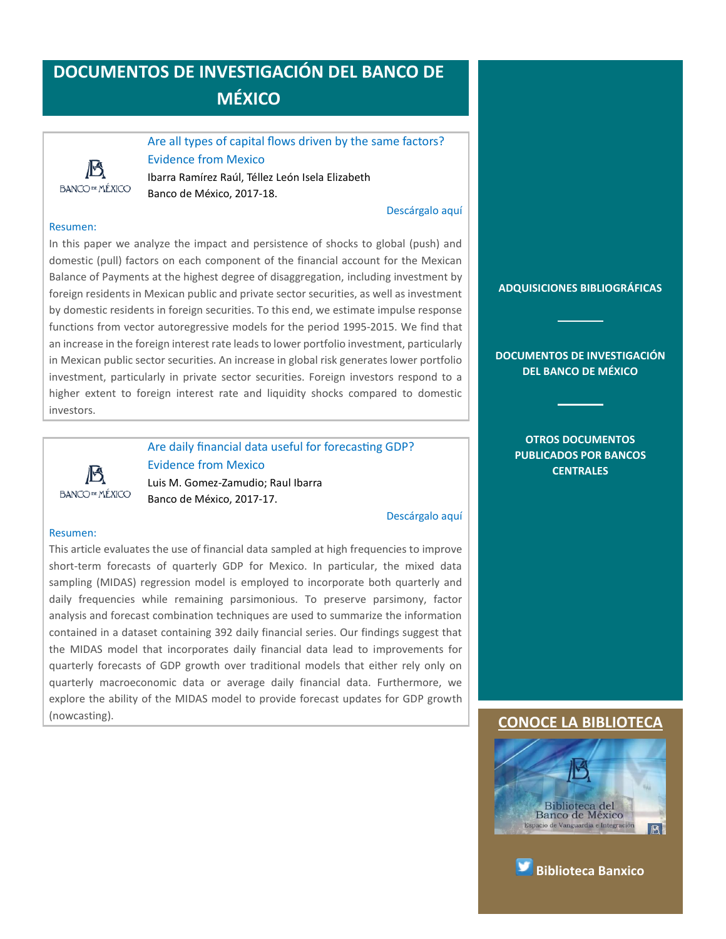## <span id="page-10-0"></span>**DOCUMENTOS DE INVESTIGACIÓN DEL BANCO DE MÉXICO**

Banco de México, 2017-18.



Are all types of capital flows driven by the same factors? Evidence from Mexico Ibarra Ramírez Raúl, Téllez León Isela Elizabeth

#### [Descárgalo aquí](http://www.banxico.org.mx/publicaciones-y-discursos/publicaciones/documentos-de-investigacion/banxico/%7B8F4AD67D-46FF-3121-6713-9E8DDD5A3187%7D.pdf)

#### Resumen:

In this paper we analyze the impact and persistence of shocks to global (push) and domestic (pull) factors on each component of the financial account for the Mexican Balance of Payments at the highest degree of disaggregation, including investment by foreign residents in Mexican public and private sector securities, as well as investment by domestic residents in foreign securities. To this end, we estimate impulse response functions from vector autoregressive models for the period 1995-2015. We find that an increase in the foreign interest rate leads to lower portfolio investment, particularly in Mexican public sector securities. An increase in global risk generates lower portfolio investment, particularly in private sector securities. Foreign investors respond to a higher extent to foreign interest rate and liquidity shocks compared to domestic investors.



Are daily financial data useful for forecasting GDP? Evidence from Mexico Luis M. Gomez-Zamudio; Raul Ibarra Banco de México, 2017-17.

#### [Descárgalo aquí](http://www.banxico.org.mx/publicaciones-y-discursos/publicaciones/documentos-de-investigacion/banxico/%7BAF04D650-ACF0-B03C-12ED-68387B2AA6D6%7D.pdf)

#### Resumen:

This article evaluates the use of financial data sampled at high frequencies to improve short-term forecasts of quarterly GDP for Mexico. In particular, the mixed data sampling (MIDAS) regression model is employed to incorporate both quarterly and daily frequencies while remaining parsimonious. To preserve parsimony, factor analysis and forecast combination techniques are used to summarize the information contained in a dataset containing 392 daily financial series. Our findings suggest that the MIDAS model that incorporates daily financial data lead to improvements for quarterly forecasts of GDP growth over traditional models that either rely only on quarterly macroeconomic data or average daily financial data. Furthermore, we explore the ability of the MIDAS model to provide forecast updates for GDP growth (nowcasting).

**[ADQUISICIONES BIBLIOGRÁFICAS](#page-1-0)**

**[DOCUMENTOS DE INVESTIGACIÓN](#page-2-0)  [DEL BANCO DE MÉXICO](#page-2-0)**

> **[OTROS DOCUMENTOS](#page-3-0)  [PUBLICADOS POR BANCOS](#page-3-0)  [CENTRALES](#page-3-0)**

#### **CONOCE LA BIBLIOTE**

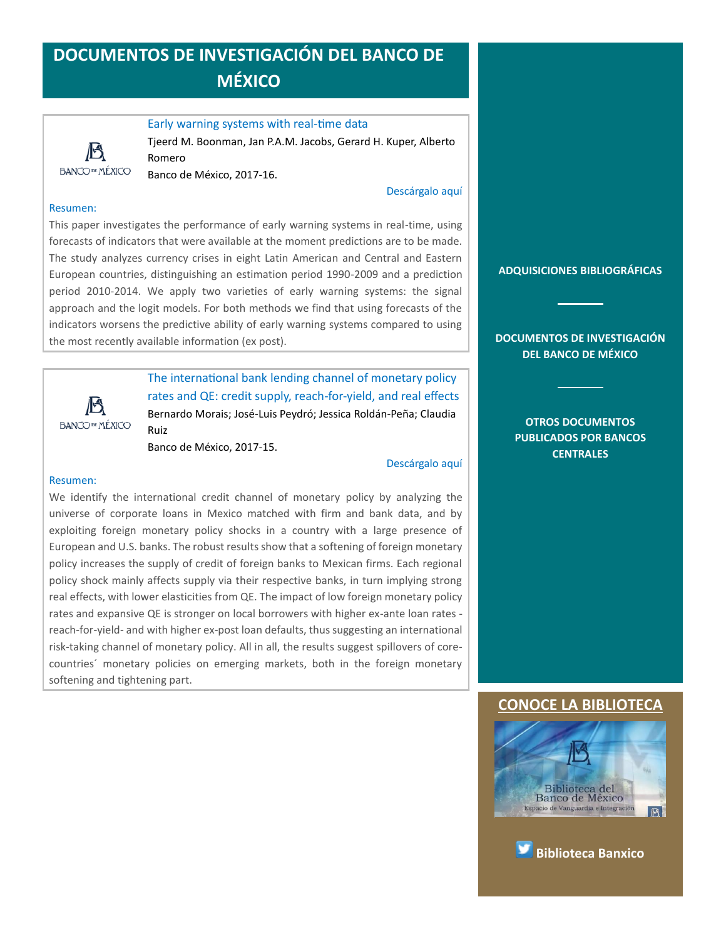## <span id="page-11-0"></span>**DOCUMENTOS DE INVESTIGACIÓN DEL BANCO DE MÉXICO**

#### Early warning systems with real-time data

乃 **BANCO DE MÉXICO**  Tjeerd M. Boonman, Jan P.A.M. Jacobs, Gerard H. Kuper, Alberto Romero

Banco de México, 2017-16.

#### [Descárgalo aquí](http://www.banxico.org.mx/publicaciones-y-discursos/publicaciones/documentos-de-investigacion/banxico/%7B497CDEBD-8260-F7C0-1AFC-CEB0890D9979%7D.pdf)

#### Resumen:

This paper investigates the performance of early warning systems in real-time, using forecasts of indicators that were available at the moment predictions are to be made. The study analyzes currency crises in eight Latin American and Central and Eastern European countries, distinguishing an estimation period 1990-2009 and a prediction period 2010-2014. We apply two varieties of early warning systems: the signal approach and the logit models. For both methods we find that using forecasts of the indicators worsens the predictive ability of early warning systems compared to using the most recently available information (ex post).



The international bank lending channel of monetary policy rates and QE: credit supply, reach-for-yield, and real effects Bernardo Morais; José-Luis Peydró; Jessica Roldán-Peña; Claudia Ruiz

Banco de México, 2017-15.

[Descárgalo aquí](http://www.banxico.org.mx/publicaciones-y-discursos/publicaciones/documentos-de-investigacion/banxico/%7B55FFBE01-47A7-9248-CF45-57E0CCCFA073%7D.pdf)

#### Resumen:

We identify the international credit channel of monetary policy by analyzing the universe of corporate loans in Mexico matched with firm and bank data, and by exploiting foreign monetary policy shocks in a country with a large presence of European and U.S. banks. The robust results show that a softening of foreign monetary policy increases the supply of credit of foreign banks to Mexican firms. Each regional policy shock mainly affects supply via their respective banks, in turn implying strong real effects, with lower elasticities from QE. The impact of low foreign monetary policy rates and expansive QE is stronger on local borrowers with higher ex-ante loan rates reach-for-yield- and with higher ex-post loan defaults, thus suggesting an international risk-taking channel of monetary policy. All in all, the results suggest spillovers of corecountries´ monetary policies on emerging markets, both in the foreign monetary softening and tightening part.

**[ADQUISICIONES BIBLIOGRÁFICAS](#page-1-0)**

#### **[DOCUMENTOS DE INVESTIGACIÓN](#page-2-0)  [DEL BANCO DE MÉXICO](#page-2-0)**

**[OTROS DOCUMENTOS](#page-3-0)  [PUBLICADOS POR BANCOS](#page-3-0)  [CENTRALES](#page-3-0)**

#### **[CONOCE LA BIBLIOTECA](https://youtu.be/hYviojnntt8)**

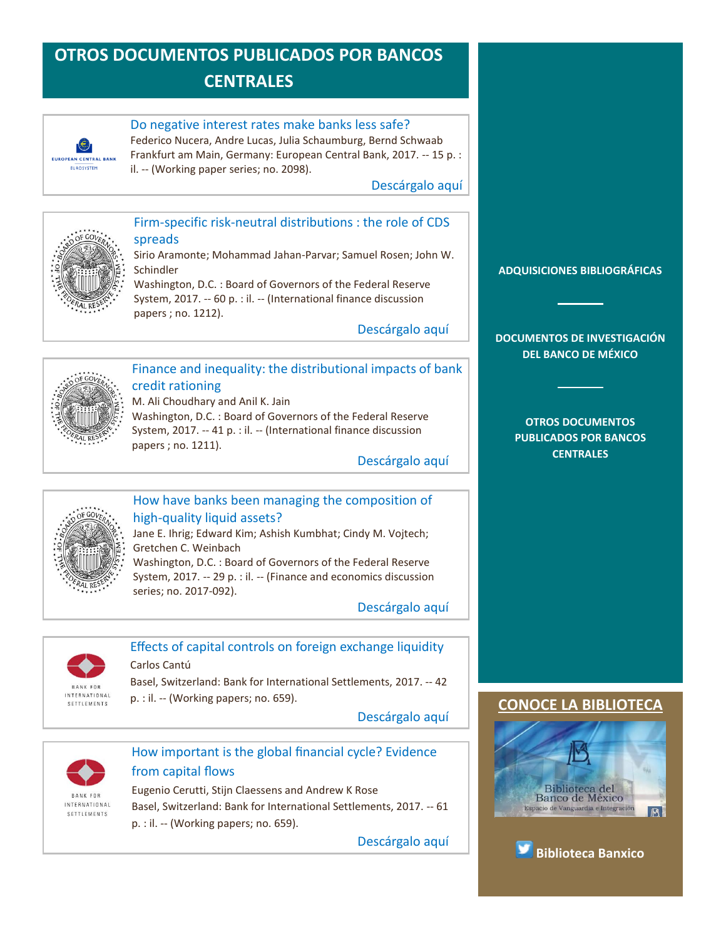## <span id="page-12-0"></span>**OTROS DOCUMENTOS PUBLICADOS POR BANCOS**

## **CENTRALES**



#### Do negative interest rates make banks less safe?

Federico Nucera, Andre Lucas, Julia Schaumburg, Bernd Schwaab Frankfurt am Main, Germany: European Central Bank, 2017. -- 15 p. : il. -- (Working paper series; no. 2098).

[Descárgalo aquí](https://www.ecb.europa.eu/pub/pdf/scpwps/ecb.wp2098.en.pdf)



#### Firm-specific risk-neutral distributions : the role of CDS spreads

Sirio Aramonte; Mohammad Jahan-Parvar; Samuel Rosen; John W. Schindler

Washington, D.C. : Board of Governors of the Federal Reserve System, 2017. -- 60 p. : il. -- (International finance discussion papers ; no. 1212).

[Descárgalo aquí](https://www.federalreserve.gov/econres/ifdp/files/ifdp1212.pdf)



#### Finance and inequality: the distributional impacts of bank credit rationing

M. Ali Choudhary and Anil K. Jain Washington, D.C. : Board of Governors of the Federal Reserve System, 2017. -- 41 p. : il. -- (International finance discussion papers ; no. 1211).

[Descárgalo aquí](https://www.federalreserve.gov/econres/ifdp/files/ifdp1211.pdf)



#### How have banks been managing the composition of high-quality liquid assets?

Jane E. Ihrig; Edward Kim; Ashish Kumbhat; Cindy M. Vojtech; Gretchen C. Weinbach Washington, D.C. : Board of Governors of the Federal Reserve

System, 2017. -- 29 p. : il. -- (Finance and economics discussion series; no. 2017-092).

[Descárgalo aquí](https://www.federalreserve.gov/econres/feds/files/2017092pap.pdf)



Effects of capital controls on foreign exchange liquidity Carlos Cantú

Basel, Switzerland: Bank for International Settlements, 2017. -- 42 p. : il. -- (Working papers; no. 659).

[Descárgalo aquí](http://www.bis.org/publ/work659.pdf)



### How important is the global financial cycle? Evidence from capital flows

Eugenio Cerutti, Stijn Claessens and Andrew K Rose

Basel, Switzerland: Bank for International Settlements, 2017. -- 61 p. : il. -- (Working papers; no. 659).

[Descárgalo aquí](http://www.bis.org/publ/work661.pdf)

#### **[ADQUISICIONES BIBLIOGRÁFICAS](#page-1-0)**

#### **[DOCUMENTOS DE INVESTIGACIÓN](#page-2-0)  [DEL BANCO DE MÉXICO](#page-2-0)**

**[OTROS DOCUMENTOS](#page-3-0)  [PUBLICADOS POR BANCOS](#page-3-0)  [CENTRALES](#page-3-0)**

### **[CONOCE LA BIBLIOTECA](https://youtu.be/hYviojnntt8)**